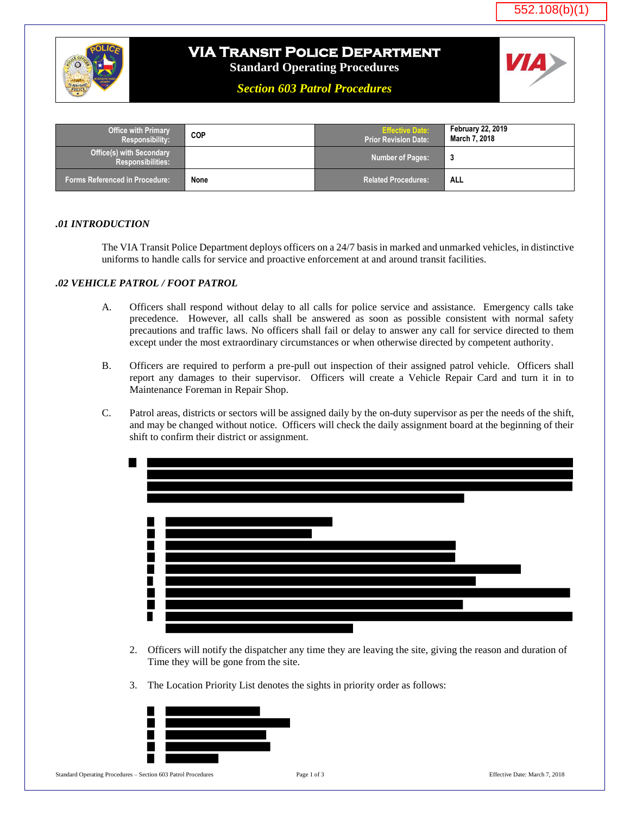



## **VIA Transit Police Department**

**Standard Operating Procedures**

*Section 603 Patrol Procedures*



| <b>Office with Primary</b><br><b>Responsibility:</b>        | COP  | <b>Effective Date:</b><br><b>Prior Revision Date:</b> | <b>February 22, 2019</b><br>March 7, 2018 |
|-------------------------------------------------------------|------|-------------------------------------------------------|-------------------------------------------|
| <b>Office(s) with Secondary</b><br><b>Responsibilities:</b> |      | <b>Number of Pages:</b>                               | -3                                        |
| <b>Forms Referenced in Procedure:</b>                       | None | <b>Related Procedures:</b>                            | <b>ALL</b>                                |

## *.01 INTRODUCTION*

 The VIA Transit Police Department deploys officers on a 24/7 basis in marked and unmarked vehicles, in distinctive uniforms to handle calls for service and proactive enforcement at and around transit facilities.

## *.02 VEHICLE PATROL / FOOT PATROL*

- A. Officers shall respond without delay to all calls for police service and assistance. Emergency calls take precedence. However, all calls shall be answered as soon as possible consistent with normal safety precautions and traffic laws. No officers shall fail or delay to answer any call for service directed to them except under the most extraordinary circumstances or when otherwise directed by competent authority.
- B. Officers are required to perform a pre-pull out inspection of their assigned patrol vehicle. Officers shall report any damages to their supervisor. Officers will create a Vehicle Repair Card and turn it in to Maintenance Foreman in Repair Shop.
- C. Patrol areas, districts or sectors will be assigned daily by the on-duty supervisor as per the needs of the shift, and may be changed without notice. Officers will check the daily assignment board at the beginning of their shift to confirm their district or assignment.



- 2. Officers will notify the dispatcher any time they are leaving the site, giving the reason and duration of Time they will be gone from the site.
- 3. The Location Priority List denotes the sights in priority order as follows:



Standard Operating Procedures – Section 603 Patrol Procedures Page 1 of 3 Effective Date: March 7, 2018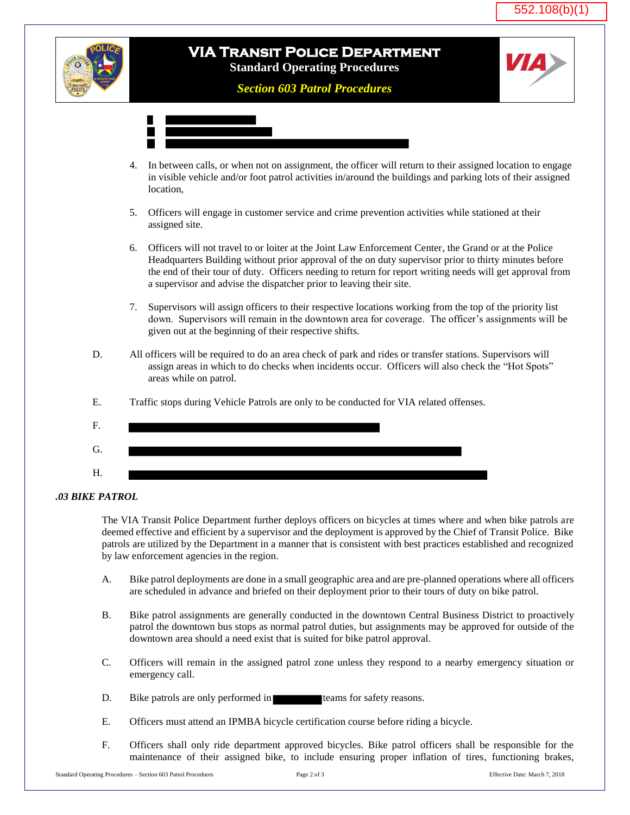



 The VIA Transit Police Department further deploys officers on bicycles at times where and when bike patrols are deemed effective and efficient by a supervisor and the deployment is approved by the Chief of Transit Police. Bike patrols are utilized by the Department in a manner that is consistent with best practices established and recognized by law enforcement agencies in the region.

- A. Bike patrol deployments are done in a small geographic area and are pre-planned operations where all officers are scheduled in advance and briefed on their deployment prior to their tours of duty on bike patrol.
- B. Bike patrol assignments are generally conducted in the downtown Central Business District to proactively patrol the downtown bus stops as normal patrol duties, but assignments may be approved for outside of the downtown area should a need exist that is suited for bike patrol approval.
- C. Officers will remain in the assigned patrol zone unless they respond to a nearby emergency situation or emergency call.
- D. Bike patrols are only performed in teams for safety reasons.
- E. Officers must attend an IPMBA bicycle certification course before riding a bicycle.
- F. Officers shall only ride department approved bicycles. Bike patrol officers shall be responsible for the maintenance of their assigned bike, to include ensuring proper inflation of tires, functioning brakes,